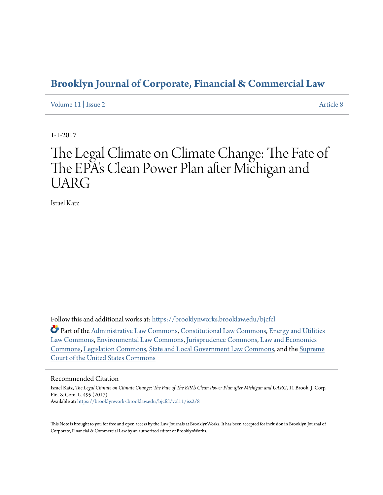# **[Brooklyn Journal of Corporate, Financial & Commercial Law](https://brooklynworks.brooklaw.edu/bjcfcl?utm_source=brooklynworks.brooklaw.edu%2Fbjcfcl%2Fvol11%2Fiss2%2F8&utm_medium=PDF&utm_campaign=PDFCoverPages)**

[Volume 11](https://brooklynworks.brooklaw.edu/bjcfcl/vol11?utm_source=brooklynworks.brooklaw.edu%2Fbjcfcl%2Fvol11%2Fiss2%2F8&utm_medium=PDF&utm_campaign=PDFCoverPages) | [Issue 2](https://brooklynworks.brooklaw.edu/bjcfcl/vol11/iss2?utm_source=brooklynworks.brooklaw.edu%2Fbjcfcl%2Fvol11%2Fiss2%2F8&utm_medium=PDF&utm_campaign=PDFCoverPages) [Article 8](https://brooklynworks.brooklaw.edu/bjcfcl/vol11/iss2/8?utm_source=brooklynworks.brooklaw.edu%2Fbjcfcl%2Fvol11%2Fiss2%2F8&utm_medium=PDF&utm_campaign=PDFCoverPages)

1-1-2017

# The Legal Climate on Climate Change: The Fate of The EPA's Clean Power Plan after Michigan and UARG

Israel Katz

Follow this and additional works at: [https://brooklynworks.brooklaw.edu/bjcfcl](https://brooklynworks.brooklaw.edu/bjcfcl?utm_source=brooklynworks.brooklaw.edu%2Fbjcfcl%2Fvol11%2Fiss2%2F8&utm_medium=PDF&utm_campaign=PDFCoverPages)

Part of the [Administrative Law Commons,](http://network.bepress.com/hgg/discipline/579?utm_source=brooklynworks.brooklaw.edu%2Fbjcfcl%2Fvol11%2Fiss2%2F8&utm_medium=PDF&utm_campaign=PDFCoverPages) [Constitutional Law Commons](http://network.bepress.com/hgg/discipline/589?utm_source=brooklynworks.brooklaw.edu%2Fbjcfcl%2Fvol11%2Fiss2%2F8&utm_medium=PDF&utm_campaign=PDFCoverPages), [Energy and Utilities](http://network.bepress.com/hgg/discipline/891?utm_source=brooklynworks.brooklaw.edu%2Fbjcfcl%2Fvol11%2Fiss2%2F8&utm_medium=PDF&utm_campaign=PDFCoverPages) [Law Commons](http://network.bepress.com/hgg/discipline/891?utm_source=brooklynworks.brooklaw.edu%2Fbjcfcl%2Fvol11%2Fiss2%2F8&utm_medium=PDF&utm_campaign=PDFCoverPages), [Environmental Law Commons](http://network.bepress.com/hgg/discipline/599?utm_source=brooklynworks.brooklaw.edu%2Fbjcfcl%2Fvol11%2Fiss2%2F8&utm_medium=PDF&utm_campaign=PDFCoverPages), [Jurisprudence Commons](http://network.bepress.com/hgg/discipline/610?utm_source=brooklynworks.brooklaw.edu%2Fbjcfcl%2Fvol11%2Fiss2%2F8&utm_medium=PDF&utm_campaign=PDFCoverPages), [Law and Economics](http://network.bepress.com/hgg/discipline/612?utm_source=brooklynworks.brooklaw.edu%2Fbjcfcl%2Fvol11%2Fiss2%2F8&utm_medium=PDF&utm_campaign=PDFCoverPages) [Commons,](http://network.bepress.com/hgg/discipline/612?utm_source=brooklynworks.brooklaw.edu%2Fbjcfcl%2Fvol11%2Fiss2%2F8&utm_medium=PDF&utm_campaign=PDFCoverPages) [Legislation Commons,](http://network.bepress.com/hgg/discipline/859?utm_source=brooklynworks.brooklaw.edu%2Fbjcfcl%2Fvol11%2Fiss2%2F8&utm_medium=PDF&utm_campaign=PDFCoverPages) [State and Local Government Law Commons](http://network.bepress.com/hgg/discipline/879?utm_source=brooklynworks.brooklaw.edu%2Fbjcfcl%2Fvol11%2Fiss2%2F8&utm_medium=PDF&utm_campaign=PDFCoverPages), and the [Supreme](http://network.bepress.com/hgg/discipline/1350?utm_source=brooklynworks.brooklaw.edu%2Fbjcfcl%2Fvol11%2Fiss2%2F8&utm_medium=PDF&utm_campaign=PDFCoverPages) [Court of the United States Commons](http://network.bepress.com/hgg/discipline/1350?utm_source=brooklynworks.brooklaw.edu%2Fbjcfcl%2Fvol11%2Fiss2%2F8&utm_medium=PDF&utm_campaign=PDFCoverPages)

# Recommended Citation

Israel Katz, *The Legal Climate on Climate Change: The Fate of The EPA's Clean Power Plan after Michigan and UARG*, 11 Brook. J. Corp. Fin. & Com. L. 495 (2017). Available at: [https://brooklynworks.brooklaw.edu/bjcfcl/vol11/iss2/8](https://brooklynworks.brooklaw.edu/bjcfcl/vol11/iss2/8?utm_source=brooklynworks.brooklaw.edu%2Fbjcfcl%2Fvol11%2Fiss2%2F8&utm_medium=PDF&utm_campaign=PDFCoverPages)

This Note is brought to you for free and open access by the Law Journals at BrooklynWorks. It has been accepted for inclusion in Brooklyn Journal of Corporate, Financial & Commercial Law by an authorized editor of BrooklynWorks.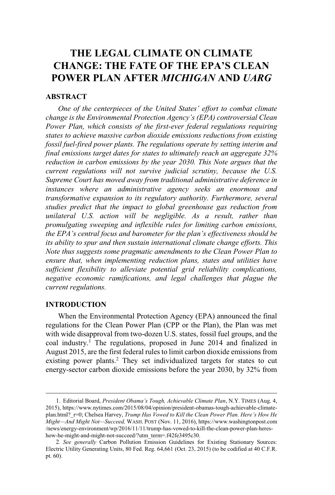# **THE LEGAL CLIMATE ON CLIMATE CHANGE: THE FATE OF THE EPA'S CLEAN POWER PLAN AFTER** *MICHIGAN* **AND** *UARG*

# **ABSTRACT**

*One of the centerpieces of the United States' effort to combat climate change is the Environmental Protection Agency's (EPA) controversial Clean Power Plan, which consists of the first-ever federal regulations requiring states to achieve massive carbon dioxide emissions reductions from existing fossil fuel-fired power plants. The regulations operate by setting interim and final emissions target dates for states to ultimately reach an aggregate 32% reduction in carbon emissions by the year 2030. This Note argues that the current regulations will not survive judicial scrutiny, because the U.S. Supreme Court has moved away from traditional administrative deference in instances where an administrative agency seeks an enormous and transformative expansion to its regulatory authority. Furthermore, several studies predict that the impact to global greenhouse gas reduction from unilateral U.S. action will be negligible. As a result, rather than promulgating sweeping and inflexible rules for limiting carbon emissions, the EPA's central focus and barometer for the plan's effectiveness should be its ability to spur and then sustain international climate change efforts. This Note thus suggests some pragmatic amendments to the Clean Power Plan to ensure that, when implementing reduction plans, states and utilities have sufficient flexibility to alleviate potential grid reliability complications, negative economic ramifications, and legal challenges that plague the current regulations.*

### **INTRODUCTION**

When the Environmental Protection Agency (EPA) announced the final regulations for the Clean Power Plan (CPP or the Plan), the Plan was met with wide disapproval from two-dozen U.S. states, fossil fuel groups, and the coal industry.<sup>1</sup> The regulations, proposed in June 2014 and finalized in August 2015, are the first federal rules to limit carbon dioxide emissions from existing power plants.<sup>2</sup> They set individualized targets for states to cut energy-sector carbon dioxide emissions before the year 2030, by 32% from

<sup>1</sup>. Editorial Board, *President Obama's Tough, Achievable Climate Plan*, N.Y. TIMES (Aug. 4, 2015), https://www.nytimes.com/2015/08/04/opinion/president-obamas-tough-achievable-climateplan.html?\_r=0; Chelsea Harvey, *Trump Has Vowed to Kill the Clean Power Plan. Here's How He Might—And Might Not—Succeed,* WASH. POST (Nov. 11, 2016), https://www.washingtonpost.com /news/energy-environment/wp/2016/11/11/trump-has-vowed-to-kill-the-clean-power-plan-hereshow-he-might-and-might-not-succeed/?utm\_term=.f42fe3495c30.

<sup>2</sup>*. See generally* Carbon Pollution Emission Guidelines for Existing Stationary Sources: Electric Utility Generating Units, 80 Fed. Reg. 64,661 (Oct. 23, 2015) (to be codified at 40 C.F.R. pt. 60).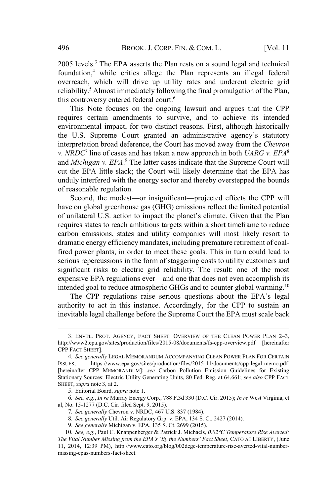$2005$  levels.<sup>3</sup> The EPA asserts the Plan rests on a sound legal and technical foundation,<sup>4</sup> while critics allege the Plan represents an illegal federal overreach, which will drive up utility rates and undercut electric grid reliability.<sup>5</sup> Almost immediately following the final promulgation of the Plan, this controversy entered federal court.<sup>6</sup>

This Note focuses on the ongoing lawsuit and argues that the CPP requires certain amendments to survive, and to achieve its intended environmental impact, for two distinct reasons. First, although historically the U.S. Supreme Court granted an administrative agency's statutory interpretation broad deference, the Court has moved away from the *Chevron v. NRDC*<sup>7</sup> line of cases and has taken a new approach in both *UARG v. EPA*<sup>8</sup> and *Michigan v. EPA*. <sup>9</sup> The latter cases indicate that the Supreme Court will cut the EPA little slack; the Court will likely determine that the EPA has unduly interfered with the energy sector and thereby overstepped the bounds of reasonable regulation.

Second, the modest—or insignificant—projected effects the CPP will have on global greenhouse gas (GHG) emissions reflect the limited potential of unilateral U.S. action to impact the planet's climate. Given that the Plan requires states to reach ambitious targets within a short timeframe to reduce carbon emissions, states and utility companies will most likely resort to dramatic energy efficiency mandates, including premature retirement of coalfired power plants, in order to meet these goals. This in turn could lead to serious repercussions in the form of staggering costs to utility customers and significant risks to electric grid reliability. The result: one of the most expensive EPA regulations ever—and one that does not even accomplish its intended goal to reduce atmospheric GHGs and to counter global warming.<sup>10</sup>

The CPP regulations raise serious questions about the EPA's legal authority to act in this instance. Accordingly, for the CPP to sustain an inevitable legal challenge before the Supreme Court the EPA must scale back

6*. See, e.g.*, *In re* Murray Energy Corp., 788 F.3d 330 (D.C. Cir. 2015); *In re* West Virginia, et al, No. 15-1277 (D.C. Cir. filed Sept. 9, 2015).

<sup>3</sup>. ENVTL. PROT. AGENCY, FACT SHEET: OVERVIEW OF THE CLEAN POWER PLAN 2–3, http://www2.epa.gov/sites/production/files/2015-08/documents/fs-cpp-overview.pdf [hereinafter CPP FACT SHEET].

<sup>4</sup>*. See generally* LEGAL MEMORANDUM ACCOMPANYING CLEAN POWER PLAN FOR CERTAIN ISSUES, https://www.epa.gov/sites/production/files/2015-11/documents/cpp-legal-memo.pdf [hereinafter CPP MEMORANDUM]; *see* Carbon Pollution Emission Guidelines for Existing Stationary Sources: Electric Utility Generating Units, 80 Fed. Reg. at 64,661; *see also* CPP FACT SHEET, *supra* note 3*,* at 2.

<sup>5</sup>. Editorial Board, *supra* note 1.

<sup>7</sup>*. See generally* Chevron v. NRDC, 467 U.S. 837 (1984).

<sup>8</sup>*. See generally* Util. Air Regulatory Grp. v. EPA, 134 S. Ct. 2427 (2014).

<sup>9</sup>*. See generally* Michigan v. EPA, 135 S. Ct. 2699 (2015).

<sup>10</sup>*. See, e.g.*, Paul C. Knappenberger & Patrick J. Michaels, *0.02°C Temperature Rise Averted: The Vital Number Missing from the EPA's 'By the Numbers' Fact Sheet*, CATO AT LIBERTY, (June 11, 2014, 12:39 PM), http://www.cato.org/blog/002degc-temperature-rise-averted-vital-numbermissing-epas-numbers-fact-sheet.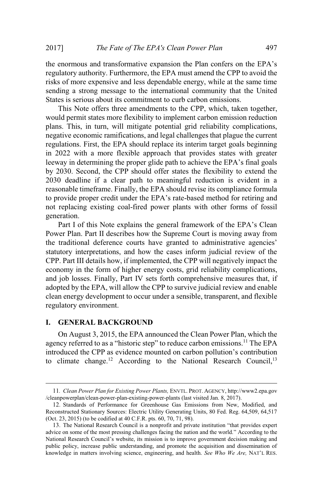the enormous and transformative expansion the Plan confers on the EPA's regulatory authority. Furthermore, the EPA must amend the CPP to avoid the risks of more expensive and less dependable energy, while at the same time sending a strong message to the international community that the United States is serious about its commitment to curb carbon emissions.

This Note offers three amendments to the CPP, which, taken together, would permit states more flexibility to implement carbon emission reduction plans. This, in turn, will mitigate potential grid reliability complications, negative economic ramifications, and legal challenges that plague the current regulations. First, the EPA should replace its interim target goals beginning in 2022 with a more flexible approach that provides states with greater leeway in determining the proper glide path to achieve the EPA's final goals by 2030. Second, the CPP should offer states the flexibility to extend the 2030 deadline if a clear path to meaningful reduction is evident in a reasonable timeframe. Finally, the EPA should revise its compliance formula to provide proper credit under the EPA's rate-based method for retiring and not replacing existing coal-fired power plants with other forms of fossil generation.

Part I of this Note explains the general framework of the EPA's Clean Power Plan. Part II describes how the Supreme Court is moving away from the traditional deference courts have granted to administrative agencies' statutory interpretations, and how the cases inform judicial review of the CPP. Part III details how, if implemented, the CPP will negatively impact the economy in the form of higher energy costs, grid reliability complications, and job losses. Finally, Part IV sets forth comprehensive measures that, if adopted by the EPA, will allow the CPP to survive judicial review and enable clean energy development to occur under a sensible, transparent, and flexible regulatory environment.

# **I. GENERAL BACKGROUND**

On August 3, 2015, the EPA announced the Clean Power Plan, which the agency referred to as a "historic step" to reduce carbon emissions.<sup>11</sup> The EPA introduced the CPP as evidence mounted on carbon pollution's contribution to climate change.<sup>12</sup> According to the National Research Council,<sup>13</sup>

<sup>11</sup>*. Clean Power Plan for Existing Power Plants,* ENVTL. PROT. AGENCY, http://www2.epa.gov /cleanpowerplan/clean-power-plan-existing-power-plants (last visited Jan. 8, 2017).

<sup>12</sup>. Standards of Performance for Greenhouse Gas Emissions from New, Modified, and Reconstructed Stationary Sources: Electric Utility Generating Units, 80 Fed. Reg. 64,509, 64,517 (Oct. 23, 2015) (to be codified at 40 C.F.R. pts. 60, 70, 71, 98).

<sup>13</sup>. The National Research Council is a nonprofit and private institution "that provides expert advice on some of the most pressing challenges facing the nation and the world." According to the National Research Council's website, its mission is to improve government decision making and public policy, increase public understanding, and promote the acquisition and dissemination of knowledge in matters involving science, engineering, and health. *See Who We Are,* NAT'L RES.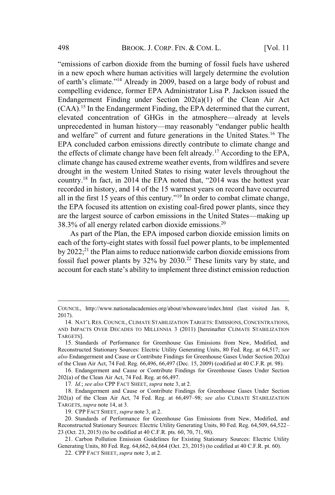"emissions of carbon dioxide from the burning of fossil fuels have ushered in a new epoch where human activities will largely determine the evolution of earth's climate."<sup>14</sup> Already in 2009, based on a large body of robust and compelling evidence, former EPA Administrator Lisa P. Jackson issued the Endangerment Finding under Section 202(a)(1) of the Clean Air Act (CAA).<sup>15</sup> In the Endangerment Finding, the EPA determined that the current, elevated concentration of GHGs in the atmosphere—already at levels unprecedented in human history—may reasonably "endanger public health and welfare" of current and future generations in the United States.<sup>16</sup> The EPA concluded carbon emissions directly contribute to climate change and the effects of climate change have been felt already.<sup>17</sup> According to the EPA, climate change has caused extreme weather events, from wildfires and severe drought in the western United States to rising water levels throughout the country.<sup>18</sup> In fact, in 2014 the EPA noted that, "2014 was the hottest year recorded in history, and 14 of the 15 warmest years on record have occurred all in the first 15 years of this century."<sup>19</sup> In order to combat climate change, the EPA focused its attention on existing coal-fired power plants, since they are the largest source of carbon emissions in the United States—making up  $38.3\%$  of all energy related carbon dioxide emissions.<sup>20</sup>

As part of the Plan, the EPA imposed carbon dioxide emission limits on each of the forty-eight states with fossil fuel power plants, to be implemented by  $2022$ ;<sup>21</sup> the Plan aims to reduce nationwide carbon dioxide emissions from fossil fuel power plants by 32% by 2030.<sup>22</sup> These limits vary by state, and account for each state's ability to implement three distinct emission reduction

COUNCIL, http://www.nationalacademies.org/about/whoweare/index.html (last visited Jan. 8, 2017).

<sup>14</sup>. NAT'LRES. COUNCIL, CLIMATE STABILIZATION TARGETS: EMISSIONS, CONCENTRATIONS, AND IMPACTS OVER DECADES TO MILLENNIA 3 (2011) [hereinafter CLIMATE STABILIZATION TARGETS].

<sup>15</sup>. Standards of Performance for Greenhouse Gas Emissions from New, Modified, and Reconstructed Stationary Sources: Electric Utility Generating Units, 80 Fed. Reg. at 64,517; *see also* Endangerment and Cause or Contribute Findings for Greenhouse Gases Under Section 202(a) of the Clean Air Act, 74 Fed. Reg. 66,496, 66,497 (Dec. 15, 2009) (codified at 40 C.F.R. pt. 98).

<sup>16</sup>. Endangerment and Cause or Contribute Findings for Greenhouse Gases Under Section 202(a) of the Clean Air Act, 74 Fed. Reg. at 66,497.

<sup>17</sup>*. Id*.; *see also* CPP FACT SHEET, *supra* note 3, at 2.

<sup>18</sup>. Endangerment and Cause or Contribute Findings for Greenhouse Gases Under Section 202(a) of the Clean Air Act, 74 Fed. Reg. at 66,497–98; *see also* CLIMATE STABILIZATION TARGETS, *supra* note 14, at 3.

<sup>19</sup>. CPP FACT SHEET, *supra* note 3, at 2.

<sup>20</sup>. Standards of Performance for Greenhouse Gas Emissions from New, Modified, and Reconstructed Stationary Sources: Electric Utility Generating Units, 80 Fed. Reg. 64,509, 64,522– 23 (Oct. 23, 2015) (to be codified at 40 C.F.R. pts. 60, 70, 71, 98).

<sup>21</sup>. Carbon Pollution Emission Guidelines for Existing Stationary Sources: Electric Utility Generating Units, 80 Fed. Reg. 64,662, 64,664 (Oct. 23, 2015) (to codified at 40 C.F.R. pt. 60).

<sup>22</sup>. CPP FACT SHEET, *supra* note 3, at 2.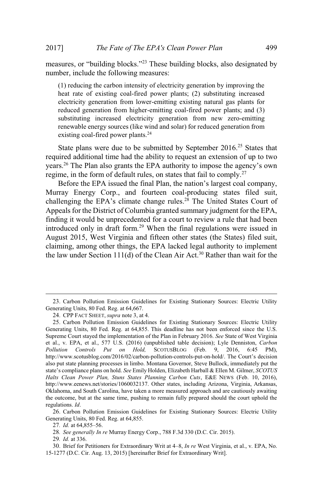measures, or "building blocks."<sup>23</sup> These building blocks, also designated by number, include the following measures:

(1) reducing the carbon intensity of electricity generation by improving the heat rate of existing coal-fired power plants; (2) substituting increased electricity generation from lower-emitting existing natural gas plants for reduced generation from higher-emitting coal-fired power plants; and (3) substituting increased electricity generation from new zero-emitting renewable energy sources (like wind and solar) for reduced generation from existing coal-fired power plants.<sup>24</sup>

State plans were due to be submitted by September 2016.<sup>25</sup> States that required additional time had the ability to request an extension of up to two years.<sup>26</sup> The Plan also grants the EPA authority to impose the agency's own regime, in the form of default rules, on states that fail to comply.<sup>27</sup>

Before the EPA issued the final Plan, the nation's largest coal company, Murray Energy Corp., and fourteen coal-producing states filed suit, challenging the EPA's climate change rules.<sup>28</sup> The United States Court of Appeals for the District of Columbia granted summary judgment for the EPA, finding it would be unprecedented for a court to review a rule that had been introduced only in draft form.<sup>29</sup> When the final regulations were issued in August 2015, West Virginia and fifteen other states (the States) filed suit, claiming, among other things, the EPA lacked legal authority to implement the law under Section 111(d) of the Clean Air Act.<sup>30</sup> Rather than wait for the

<sup>23</sup>. Carbon Pollution Emission Guidelines for Existing Stationary Sources: Electric Utility Generating Units, 80 Fed. Reg. at 64,667.

<sup>24</sup>. CPP FACT SHEET, *supra* note 3, at 4.

<sup>25</sup>. Carbon Pollution Emission Guidelines for Existing Stationary Sources: Electric Utility Generating Units, 80 Fed. Reg. at 64,855. This deadline has not been enforced since the U.S. Supreme Court stayed the implementation of the Plan in February 2016. *See* State of West Virginia et al., v. EPA, et al., 577 U.S. (2016) (unpublished table decision); Lyle Denniston, *Carbon Pollution Controls Put on Hold,* SCOTUSBLOG (Feb. 9, 2016, 6:45 PM), http://www.scotusblog.com/2016/02/carbon-pollution-controls-put-on-hold/. The Court's decision also put state planning processes in limbo. Montana Governor, Steve Bullock, immediately put the state's compliance plans on hold. *See* Emily Holden, Elizabeth Harball & Ellen M. Gilmer, *SCOTUS Halts Clean Power Plan, Stuns States Planning Carbon Cuts*, E&E NEWS (Feb. 10, 2016), http://www.eenews.net/stories/1060032137. Other states, including Arizona, Virginia, Arkansas, Oklahoma, and South Carolina, have taken a more measured approach and are cautiously awaiting the outcome, but at the same time, pushing to remain fully prepared should the court uphold the regulations. *Id*.

<sup>26</sup>. Carbon Pollution Emission Guidelines for Existing Stationary Sources: Electric Utility Generating Units, 80 Fed. Reg. at 64,855.

<sup>27</sup>*. Id.* at 64,855–56.

<sup>28</sup>*. See generally In re* Murray Energy Corp., 788 F.3d 330 (D.C. Cir. 2015).

<sup>29</sup>*. Id.* at 336.

<sup>30</sup>. Brief for Petitioners for Extraordinary Writ at 4–8, *In re* West Virginia, et al., v. EPA, No. 15-1277 (D.C. Cir. Aug. 13, 2015) [hereinafter Brief for Extraordinary Writ].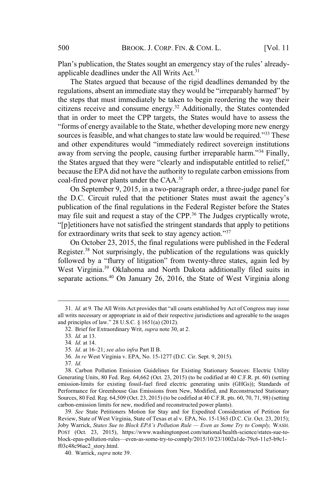Plan's publication, the States sought an emergency stay of the rules' alreadyapplicable deadlines under the All Writs Act.<sup>31</sup>

The States argued that because of the rigid deadlines demanded by the regulations, absent an immediate stay they would be "irreparably harmed" by the steps that must immediately be taken to begin reordering the way their citizens receive and consume energy.<sup>32</sup> Additionally, the States contended that in order to meet the CPP targets, the States would have to assess the "forms of energy available to the State, whether developing more new energy sources is feasible, and what changes to state law would be required."<sup>33</sup> These and other expenditures would "immediately redirect sovereign institutions away from serving the people, causing further irreparable harm."<sup>34</sup> Finally, the States argued that they were "clearly and indisputable entitled to relief," because the EPA did not have the authority to regulate carbon emissions from coal-fired power plants under the CAA.<sup>35</sup>

On September 9, 2015, in a two-paragraph order, a three-judge panel for the D.C. Circuit ruled that the petitioner States must await the agency's publication of the final regulations in the Federal Register before the States may file suit and request a stay of the CPP.<sup>36</sup> The Judges cryptically wrote, "[p]etitioners have not satisfied the stringent standards that apply to petitions for extraordinary writs that seek to stay agency action."<sup>37</sup>

On October 23, 2015, the final regulations were published in the Federal Register.<sup>38</sup> Not surprisingly, the publication of the regulations was quickly followed by a "flurry of litigation" from twenty-three states, again led by West Virginia.<sup>39</sup> Oklahoma and North Dakota additionally filed suits in separate actions.<sup>40</sup> On January 26, 2016, the State of West Virginia along

<sup>31</sup>*. Id.* at 9. The All Writs Act provides that "all courts established by Act of Congress may issue all writs necessary or appropriate in aid of their respective jurisdictions and agreeable to the usages and principles of law." 28 U.S.C. § 1651(a) (2012).

<sup>32</sup>. Brief for Extraordinary Writ, *supra* note 30, at 2.

<sup>33</sup>*. Id.* at 13.

<sup>34</sup>*. Id.* at 14.

<sup>35</sup>*. Id*. at 16–21; *see also infra* Part II B.

<sup>36</sup>*. In re* West Virginia v. EPA, No. 15-1277 (D.C. Cir. Sept. 9, 2015).

<sup>37</sup>*. Id.*

<sup>38</sup>. Carbon Pollution Emission Guidelines for Existing Stationary Sources: Electric Utility Generating Units, 80 Fed. Reg. 64,662 (Oct. 23, 2015) (to be codified at 40 C.F.R. pt. 60) (setting emission-limits for existing fossil-fuel fired electric generating units (GHGs)); Standards of Performance for Greenhouse Gas Emissions from New, Modified, and Reconstructed Stationary Sources, 80 Fed. Reg. 64,509 (Oct. 23, 2015) (to be codified at 40 C.F.R. pts. 60, 70, 71, 98) (setting carbon-emission limits for new, modified and reconstructed power plants).

<sup>39</sup>*. See* State Petitioners Motion for Stay and for Expedited Consideration of Petition for Review, State of West Virginia, State of Texas et al v. EPA, No. 15-1363 (D.C. Cir. Oct. 23, 2015); Joby Warrick, *States Sue to Block EPA's Pollution Rule — Even as Some Try to Comply,* WASH. POST (Oct. 23, 2015), https://www.washingtonpost.com/national/health-science/states-sue-toblock-epas-pollution-rules—even-as-some-try-to-comply/2015/10/23/1002a1de-79c6-11e5-b9c1 f03c48c96ac2\_story.html.

<sup>40</sup>. Warrick, *supra* note 39.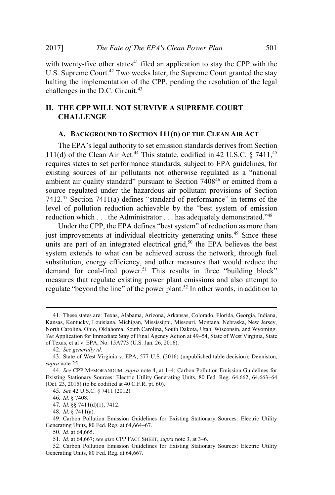with twenty-five other states $41$  filed an application to stay the CPP with the U.S. Supreme Court.<sup>42</sup> Two weeks later, the Supreme Court granted the stay halting the implementation of the CPP, pending the resolution of the legal challenges in the D.C. Circuit. $43$ 

# **II. THE CPP WILL NOT SURVIVE A SUPREME COURT CHALLENGE**

# **A. BACKGROUND TO SECTION 111(D) OF THE CLEAN AIR ACT**

The EPA's legal authority to set emission standards derives from Section 111(d) of the Clean Air Act.<sup>44</sup> This statute, codified in 42 U.S.C. § 7411,<sup>45</sup> requires states to set performance standards, subject to EPA guidelines, for existing sources of air pollutants not otherwise regulated as a "national ambient air quality standard" pursuant to Section 7408<sup>46</sup> or emitted from a source regulated under the hazardous air pollutant provisions of Section 7412.<sup>47</sup> Section 7411(a) defines "standard of performance" in terms of the level of pollution reduction achievable by the "best system of emission reduction which . . . the Administrator . . . has adequately demonstrated."<sup>48</sup>

Under the CPP, the EPA defines "best system" of reduction as more than just improvements at individual electricity generating units.<sup>49</sup> Since these units are part of an integrated electrical grid,<sup>50</sup> the EPA believes the best system extends to what can be achieved across the network, through fuel substitution, energy efficiency, and other measures that would reduce the demand for coal-fired power.<sup>51</sup> This results in three "building block" measures that regulate existing power plant emissions and also attempt to regulate "beyond the line" of the power plant.<sup>52</sup> In other words, in addition to

- 47*. Id*. §§ 7411(d)(1), 7412.
- 48*. Id*. § 7411(a).

<sup>41</sup>. These states are: Texas, Alabama, Arizona, Arkansas, Colorado, Florida, Georgia, Indiana, Kansas, Kentucky, Louisiana, Michigan, Mississippi, Missouri, Montana, Nebraska, New Jersey, North Carolina, Ohio, Oklahoma, South Carolina, South Dakota, Utah, Wisconsin, and Wyoming. *See* Application for Immediate Stay of Final Agency Action at 49–54, State of West Virginia, State of Texas, et al v. EPA, No. 15A773 (U.S. Jan. 26, 2016).

<sup>42</sup>*. See generally id.*

<sup>43</sup>. State of West Virginia v. EPA, 577 U.S. (2016) (unpublished table decision); Denniston, *supra* note 25.

<sup>44</sup>*. See* CPP MEMORANDUM, *supra* note 4, at 1–4; Carbon Pollution Emission Guidelines for Existing Stationary Sources: Electric Utility Generating Units, 80 Fed. Reg. 64,662, 64,663–64 (Oct. 23, 2015) (to be codified at 40 C.F.R. pt. 60).

<sup>45</sup>*. See* 42 U.S.C. § 7411 (2012).

<sup>46</sup>*. Id*. § 7408.

<sup>49</sup>. Carbon Pollution Emission Guidelines for Existing Stationary Sources: Electric Utility Generating Units, 80 Fed. Reg. at 64,664–67.

<sup>50</sup>*. Id.* at 64,665.

<sup>51</sup>*. Id.* at 64,667; *see also* CPP FACT SHEET, *supra* note 3, at 3–6.

<sup>52</sup>. Carbon Pollution Emission Guidelines for Existing Stationary Sources: Electric Utility Generating Units, 80 Fed. Reg. at 64,667.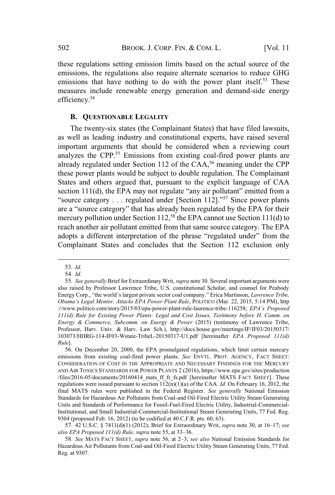these regulations setting emission limits based on the actual source of the emissions, the regulations also require alternate scenarios to reduce GHG emissions that have nothing to do with the power plant itself.<sup>53</sup> These measures include renewable energy generation and demand-side energy efficiency.<sup>54</sup>

# **B. QUESTIONABLE LEGALITY**

The twenty-six states (the Complainant States) that have filed lawsuits, as well as leading industry and constitutional experts, have raised several important arguments that should be considered when a reviewing court analyzes the CPP.<sup>55</sup> Emissions from existing coal-fired power plants are already regulated under Section 112 of the CAA,<sup>56</sup> meaning under the CPP these power plants would be subject to double regulation. The Complainant States and others argued that, pursuant to the explicit language of CAA section 111(d), the EPA may not regulate "any air pollutant" emitted from a "source category  $\ldots$  regulated under [Section 112]."<sup>57</sup> Since power plants are a "source category" that has already been regulated by the EPA for their mercury pollution under Section 112,<sup>58</sup> the EPA cannot use Section 111(d) to reach another air pollutant emitted from that same source category. The EPA adopts a different interpretation of the phrase "regulated under" from the Complainant States and concludes that the Section 112 exclusion only

<sup>53</sup>*. Id.*

<sup>54</sup>*. Id.*

<sup>55</sup>*. See generally* Brief for Extraordinary Writ, *supra* note 30. Several important arguments were also raised by Professor Lawrence Tribe, U.S. constitutional Scholar, and counsel for Peabody Energy Corp., "the world's largest private sector coal company." Erica Martinson, *Lawrence Tribe, Obama's Legal Mentor, Attacks EPA Power Plant Rule*, POLITICO (Mar. 22, 2015, 5:14 PM), http ://www.politico.com/story/2015/03/epa-power-plant-rule-laurence-tribe-116258; *EPA's Proposed 111(d) Rule for Existing Power Plants: Legal and Cost Issues, Testimony before H. Comm. on Energy & Commerce, Subcomm. on Energy & Power* (2015) (testimony of Lawrence Tribe, Professor, Harv. Univ. & Harv. Law Sch.), http://docs.house.gov/meetings/IF/IF03/20150317/ 103073/HHRG-114-IF03-Wstate-TribeL-20150317-U1.pdf [hereinafter *EPA Proposed 111(d) Rule*].

<sup>56</sup>. On December 20, 2000, the EPA promulgated regulations, which limit certain mercury emissions from existing coal-fired power plants. *See* ENVTL. PROT. AGENCY, FACT SHEET: CONSIDERATION OF COST IN THE APPROPRIATE AND NECESSARY FINDINGS FOR THE MERCURY AND AIR TOXICS STANDARDS FOR POWER PLANTS 2 (2016), https://www.epa.gov/sites/production /files/2016-05/documents/20160414\_mats\_ff\_fr\_fs.pdf [hereinafter MATS FACT SHEET]. These regulations were issued pursuant to section  $112(n)(1)(a)$  of the CAA. *Id.* On February 16, 2012, the final MATS rules were published in the Federal Register. *See generally* National Emission Standards for Hazardous Air Pollutants from Coal-and Oil-Fired Electric Utility Steam Generating Units and Standards of Performance for Fossil-Fuel-Fired Electric Utility, Industrial-Commercial-Institutional, and Small Industrial-Commercial-Institutional Steam Generating Units, 77 Fed. Reg. 9304 (proposed Feb. 16, 2012) (to be codified at 40 C.F.R. pts. 60, 63).

<sup>57</sup>. 42 U.S.C. § 7411(d)(1) (2012); Brief for Extraordinary Writ, *supra* note 30, at 16–17; *see also EPA Proposed 111(d) Rule, supra* note 55, at 33–36.

<sup>58</sup>*. See* MATS FACT SHEET, *supra* note 56, at 2–3; *see also* National Emission Standards for Hazardous Air Pollutants from Coal-and Oil-Fired Electric Utility Steam Generating Units, 77 Fed. Reg. at 9307.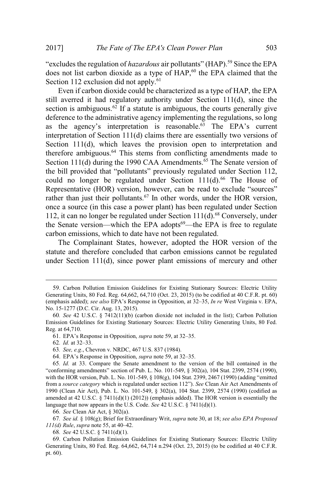"excludes the regulation of *hazardous* air pollutants" (HAP).<sup>59</sup> Since the EPA does not list carbon dioxide as a type of  $HAP$ ,<sup>60</sup> the EPA claimed that the Section 112 exclusion did not apply.<sup>61</sup>

Even if carbon dioxide could be characterized as a type of HAP, the EPA still averred it had regulatory authority under Section 111(d), since the section is ambiguous.<sup>62</sup> If a statute is ambiguous, the courts generally give deference to the administrative agency implementing the regulations, so long as the agency's interpretation is reasonable.<sup>63</sup> The EPA's current interpretation of Section 111(d) claims there are essentially two versions of Section 111(d), which leaves the provision open to interpretation and therefore ambiguous.<sup>64</sup> This stems from conflicting amendments made to Section 111(d) during the 1990 CAA Amendments.<sup>65</sup> The Senate version of the bill provided that "pollutants" previously regulated under Section 112, could no longer be regulated under Section  $111(d)$ .<sup>66</sup> The House of Representative (HOR) version, however, can be read to exclude "sources" rather than just their pollutants.<sup>67</sup> In other words, under the HOR version, once a source (in this case a power plant) has been regulated under Section 112, it can no longer be regulated under Section 111(d).<sup>68</sup> Conversely, under the Senate version—which the EPA adopts<sup>69</sup>—the EPA is free to regulate carbon emissions, which to date have not been regulated.

The Complainant States, however, adopted the HOR version of the statute and therefore concluded that carbon emissions cannot be regulated under Section 111(d), since power plant emissions of mercury and other

66*. See* Clean Air Act, § 302(a).

68*. See* 42 U.S.C. § 7411(d)(1).

<sup>59</sup>. Carbon Pollution Emission Guidelines for Existing Stationary Sources: Electric Utility Generating Units, 80 Fed. Reg. 64,662, 64,710 (Oct. 23, 2015) (to be codified at 40 C.F.R. pt. 60) (emphasis added); *see also* EPA's Response in Opposition, at 32–35, *In re* West Virginia v. EPA, No. 15-1277 (D.C. Cir. Aug. 13, 2015)*.*

<sup>60</sup>*. See* 42 U.S.C. § 7412(11)(b) (carbon dioxide not included in the list); Carbon Pollution Emission Guidelines for Existing Stationary Sources: Electric Utility Generating Units, 80 Fed. Reg. at 64,710.

<sup>61</sup>. EPA's Response in Opposition, *supra* note 59, at 32–35.

<sup>62</sup>*. Id.* at 32–33.

<sup>63</sup>*. See, e.g*., Chevron v. NRDC, 467 U.S. 837 (1984).

<sup>64</sup>. EPA's Response in Opposition, *supra* note 59, at 32–35.

<sup>65</sup>*. Id.* at 33. Compare the Senate amendment to the version of the bill contained in the "conforming amendments" section of Pub. L. No. 101-549, § 302(a), 104 Stat. 2399, 2574 (1990), with the HOR version, Pub. L. No. 101-549, § 108(g), 104 Stat. 2399, 2467 (1990) (adding "emitted from a *source category* which is regulated under section 112"). *See* Clean Air Act Amendments of 1990 (Clean Air Act), Pub. L. No. 101-549, § 302(a), 104 Stat. 2399, 2574 (1990) (codified as amended at 42 U.S.C.  $\S$  7411(d)(1) (2012)) (emphasis added). The HOR version is essentially the language that now appears in the U.S. Code. *See* 42 U.S.C. § 7411(d)(1).

<sup>67</sup>*. See id.* § 108(g); Brief for Extraordinary Writ, *supra* note 30, at 18; *see also EPA Proposed 111(d) Rule*, *supra* note 55, at 40–42.

<sup>69</sup>. Carbon Pollution Emission Guidelines for Existing Stationary Sources: Electric Utility Generating Units, 80 Fed. Reg. 64,662, 64,714 n.294 (Oct. 23, 2015) (to be codified at 40 C.F.R. pt. 60).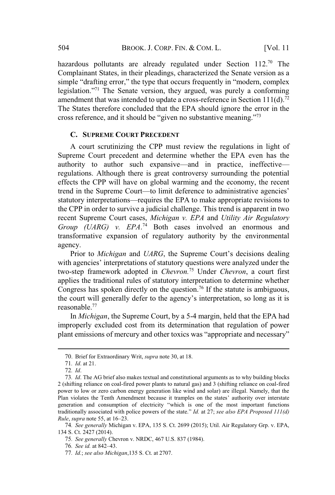hazardous pollutants are already regulated under Section 112.<sup>70</sup> The Complainant States, in their pleadings, characterized the Senate version as a simple "drafting error," the type that occurs frequently in "modern, complex legislation."<sup>71</sup> The Senate version, they argued, was purely a conforming amendment that was intended to update a cross-reference in Section  $111(d)$ .<sup>72</sup> The States therefore concluded that the EPA should ignore the error in the cross reference, and it should be "given no substantive meaning."<sup>73</sup>

# **C. SUPREME COURT PRECEDENT**

A court scrutinizing the CPP must review the regulations in light of Supreme Court precedent and determine whether the EPA even has the authority to author such expansive—and in practice, ineffective regulations. Although there is great controversy surrounding the potential effects the CPP will have on global warming and the economy, the recent trend in the Supreme Court—to limit deference to administrative agencies' statutory interpretations—requires the EPA to make appropriate revisions to the CPP in order to survive a judicial challenge. This trend is apparent in two recent Supreme Court cases, *Michigan v. EPA* and *Utility Air Regulatory Group (UARG) v. EPA*. <sup>74</sup> Both cases involved an enormous and transformative expansion of regulatory authority by the environmental agency.

Prior to *Michigan* and *UARG*, the Supreme Court's decisions dealing with agencies' interpretations of statutory questions were analyzed under the two-step framework adopted in *Chevron.*<sup>75</sup> Under *Chevron*, a court first applies the traditional rules of statutory interpretation to determine whether Congress has spoken directly on the question.<sup>76</sup> If the statute is ambiguous, the court will generally defer to the agency's interpretation, so long as it is reasonable.<sup>77</sup>

In *Michigan*, the Supreme Court, by a 5-4 margin, held that the EPA had improperly excluded cost from its determination that regulation of power plant emissions of mercury and other toxics was "appropriate and necessary"

<sup>70</sup>. Brief for Extraordinary Writ, *supra* note 30, at 18.

<sup>71</sup>*. Id*. at 21.

<sup>72</sup>*. Id*.

<sup>73</sup>*. Id*. The AG brief also makes textual and constitutional arguments as to why building blocks 2 (shifting reliance on coal-fired power plants to natural gas) and 3 (shifting reliance on coal-fired power to low or zero carbon energy generation like wind and solar) are illegal. Namely, that the Plan violates the Tenth Amendment because it tramples on the states' authority over interstate generation and consumption of electricity "which is one of the most important functions traditionally associated with police powers of the state." *Id.* at 27; *see also EPA Proposed 111(d) Rule*, *supra* note 55, at 16–23.

<sup>74</sup>*. See generally* Michigan v. EPA, 135 S. Ct. 2699 (2015); Util. Air Regulatory Grp. v. EPA, 134 S. Ct. 2427 (2014).

<sup>75</sup>*. See generally* Chevron v. NRDC, 467 U.S. 837 (1984).

<sup>76</sup>*. See id.* at 842–43.

<sup>77</sup>*. Id.*; *see also Michigan*,135 S. Ct. at 2707.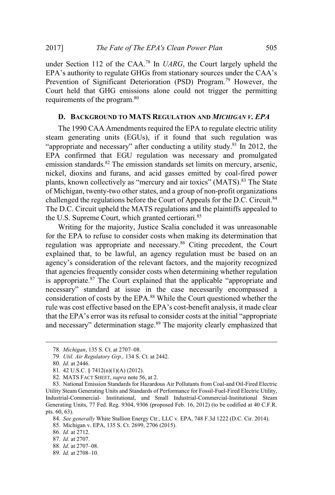under Section 112 of the CAA.<sup>78</sup> In *UARG*, the Court largely upheld the EPA's authority to regulate GHGs from stationary sources under the CAA's Prevention of Significant Deterioration (PSD) Program.<sup>79</sup> However, the Court held that GHG emissions alone could not trigger the permitting requirements of the program.<sup>80</sup>

# **D. BACKGROUND TO MATS REGULATION AND** *MICHIGAN V. EPA*

The 1990 CAA Amendments required the EPA to regulate electric utility steam generating units (EGUs), if it found that such regulation was "appropriate and necessary" after conducting a utility study.<sup>81</sup> In 2012, the EPA confirmed that EGU regulation was necessary and promulgated emission standards. $82$  The emission standards set limits on mercury, arsenic, nickel, dioxins and furans, and acid gasses emitted by coal-fired power plants, known collectively as "mercury and air toxics" (MATS).<sup>83</sup> The State of Michigan, twenty-two other states, and a group of non-profit organizations challenged the regulations before the Court of Appeals for the D.C. Circuit.<sup>84</sup> The D.C. Circuit upheld the MATS regulations and the plaintiffs appealed to the U.S. Supreme Court, which granted certiorari.<sup>85</sup>

Writing for the majority, Justice Scalia concluded it was unreasonable for the EPA to refuse to consider costs when making its determination that regulation was appropriate and necessary.<sup>86</sup> Citing precedent, the Court explained that, to be lawful, an agency regulation must be based on an agency's consideration of the relevant factors, and the majority recognized that agencies frequently consider costs when determining whether regulation is appropriate. $87$  The Court explained that the applicable "appropriate and necessary" standard at issue in the case necessarily encompassed a consideration of costs by the EPA.<sup>88</sup> While the Court questioned whether the rule was cost effective based on the EPA's cost-benefit analysis, it made clear that the EPA's error was its refusal to consider costs at the initial "appropriate and necessary" determination stage.<sup>89</sup> The majority clearly emphasized that

84*. See generally* White Stallion Energy Ctr., LLC v. EPA, 748 F.3d 1222 (D.C. Cir. 2014).

<sup>78</sup>*. Michigan*, 135 S. Ct. at 2707–08.

<sup>79</sup>*. Util. Air Regulatory Grp*.*,* 134 S. Ct. at 2442.

<sup>80</sup>*. Id*. at 2446.

<sup>81</sup>. 42 U.S.C. § 7412(n)(1)(A) (2012).

<sup>82</sup>. MATS FACT SHEET, *supra* note 56, at 2.

<sup>83</sup>. National Emission Standards for Hazardous Air Pollutants from Coal-and Oil-Fired Electric Utility Steam Generating Units and Standards of Performance for Fossil-Fuel-Fired Electric Utility, Industrial-Commercial- Institutional, and Small Industrial-Commercial-Institutional Steam Generating Units, 77 Fed. Reg. 9304, 9306 (proposed Feb. 16, 2012) (to be codified at 40 C.F.R. pts. 60, 63).

<sup>85</sup>. Michigan v. EPA, 135 S. Ct. 2699, 2706 (2015).

<sup>86</sup>*. Id.* at 2712.

<sup>87</sup>*. Id*. at 2707.

<sup>88</sup>*. Id*. at 2707–08.

<sup>89</sup>*. Id.* at 2708–10.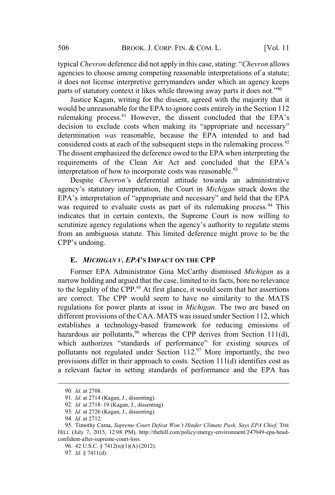typical *Chevron* deference did not apply in this case, stating: "*Chevron* allows agencies to choose among competing reasonable interpretations of a statute; it does not license interpretive gerrymanders under which an agency keeps parts of statutory context it likes while throwing away parts it does not."<sup>90</sup>

Justice Kagan, writing for the dissent, agreed with the majority that it would be unreasonable for the EPA to ignore costs entirely in the Section 112 rulemaking process.<sup>91</sup> However, the dissent concluded that the EPA's decision to exclude costs when making its "appropriate and necessary" determination *was* reasonable, because the EPA intended to and had considered costs at each of the subsequent steps in the rulemaking process.<sup>92</sup> The dissent emphasized the deference owed to the EPA when interpreting the requirements of the Clean Air Act and concluded that the EPA's interpretation of how to incorporate costs was reasonable.<sup>93</sup>

Despite *Chevron'*s deferential attitude towards an administrative agency's statutory interpretation, the Court in *Michigan* struck down the EPA's interpretation of "appropriate and necessary" and held that the EPA was required to evaluate costs as part of its rulemaking process.<sup>94</sup> This indicates that in certain contexts, the Supreme Court is now willing to scrutinize agency regulations when the agency's authority to regulate stems from an ambiguous statute. This limited deference might prove to be the CPP's undoing.

# **E.** *MICHIGAN V. EPA***'S IMPACT ON THE CPP**

Former EPA Administrator Gina McCarthy dismissed *Michigan* as a narrow holding and argued that the case, limited to its facts, bore no relevance to the legality of the CPP.<sup>95</sup> At first glance, it would seem that her assertions are correct. The CPP would seem to have no similarity to the MATS regulations for power plants at issue in *Michigan*. The two are based on different provisions of the CAA. MATS was issued under Section 112, which establishes a technology-based framework for reducing emissions of hazardous air pollutants,  $96$  whereas the CPP derives from Section 111(d), which authorizes "standards of performance" for existing sources of pollutants not regulated under Section  $112<sup>97</sup>$  More importantly, the two provisions differ in their approach to costs. Section 111(d) identifies cost as a relevant factor in setting standards of performance and the EPA has

<sup>90</sup>*. Id.* at 2708.

<sup>91</sup>*. Id.* at 2714 (Kagan, J., dissenting).

<sup>92</sup>*. Id.* at 2718–19 (Kagan, J., dissenting).

<sup>93</sup>*. Id.* at 2726 (Kagan, J., dissenting).

<sup>94</sup>*. Id.* at 2712.

<sup>95</sup>. Timothy Cama, *Supreme Court Defeat Won't Hinder Climate Push, Says EPA Chief,* THE HILL (July 7, 2015, 12:08 PM), http://thehill.com/policy/energy-environment/247049-epa-headconfident-after-supreme-court-loss.

<sup>96</sup>. 42 U.S.C. § 7412(n)(1)(A) (2012).

<sup>97</sup>*. Id*. § 7411(d).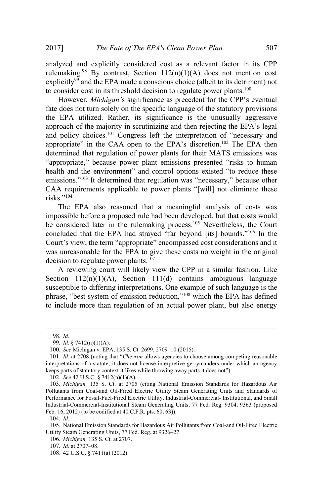analyzed and explicitly considered cost as a relevant factor in its CPP rulemaking.<sup>98</sup> By contrast, Section  $112(n)(1)(A)$  does not mention cost explicitly<sup>99</sup> and the EPA made a conscious choice (albeit to its detriment) not to consider cost in its threshold decision to regulate power plants.<sup>100</sup>

However, *Michigan'*s significance as precedent for the CPP's eventual fate does not turn solely on the specific language of the statutory provisions the EPA utilized. Rather, its significance is the unusually aggressive approach of the majority in scrutinizing and then rejecting the EPA's legal and policy choices.<sup>101</sup> Congress left the interpretation of "necessary and appropriate" in the CAA open to the EPA's discretion.<sup>102</sup> The EPA then determined that regulation of power plants for their MATS emissions was "appropriate," because power plant emissions presented "risks to human health and the environment" and control options existed "to reduce these emissions."<sup>103</sup> It determined that regulation was "necessary," because other CAA requirements applicable to power plants "[will] not eliminate these risks."<sup>104</sup>

The EPA also reasoned that a meaningful analysis of costs was impossible before a proposed rule had been developed, but that costs would be considered later in the rulemaking process.<sup>105</sup> Nevertheless, the Court concluded that the EPA had strayed "far beyond [its] bounds."<sup>106</sup> In the Court's view, the term "appropriate" encompassed cost considerations and it was unreasonable for the EPA to give these costs no weight in the original decision to regulate power plants.<sup>107</sup>

A reviewing court will likely view the CPP in a similar fashion. Like Section  $112(n)(1)(A)$ , Section  $111(d)$  contains ambiguous language susceptible to differing interpretations. One example of such language is the phrase, "best system of emission reduction,"<sup>108</sup> which the EPA has defined to include more than regulation of an actual power plant, but also energy

104*. Id.*

<sup>98</sup>*. Id.*

<sup>99</sup>*. Id*. § 7412(n)(1)(A).

<sup>100</sup>*. See* Michigan v. EPA, 135 S. Ct. 2699, 2709–10 (2015).

<sup>101</sup>*. Id.* at 2708 (noting that "*Chevron* allows agencies to choose among competing reasonable interpretations of a statute; it does not license interpretive gerrymanders under which an agency keeps parts of statutory context it likes while throwing away parts it does not").

<sup>102</sup>*. See* 42 U.S.C. § 7412(n)(1)(A).

<sup>103</sup>*. Michigan,* 135 S. Ct. at 2705 (citing National Emission Standards for Hazardous Air Pollutants from Coal-and Oil-Fired Electric Utility Steam Generating Units and Standards of Performance for Fossil-Fuel-Fired Electric Utility, Industrial-Commercial- Institutional, and Small Industrial-Commercial-Institutional Steam Generating Units, 77 Fed. Reg. 9304, 9363 (proposed Feb. 16, 2012) (to be codified at 40 C.F.R. pts. 60, 63)).

<sup>105</sup>. National Emission Standards for Hazardous Air Pollutants from Coal-and Oil-Fired Electric Utility Steam Generating Units, 77 Fed. Reg. at 9326–27.

<sup>106</sup>*. Michigan,* 135 S. Ct. at 2707.

<sup>107</sup>*. Id.* at 2707–08.

<sup>108</sup>. 42 U.S.C. § 7411(a) (2012).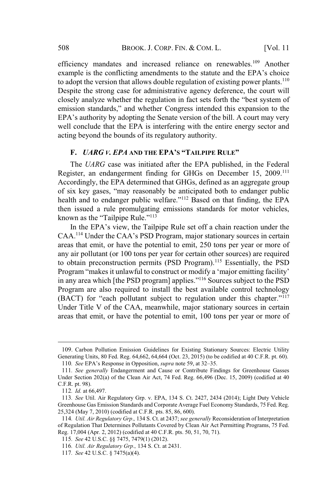efficiency mandates and increased reliance on renewables.<sup>109</sup> Another example is the conflicting amendments to the statute and the EPA's choice to adopt the version that allows double regulation of existing power plants.<sup>110</sup> Despite the strong case for administrative agency deference, the court will closely analyze whether the regulation in fact sets forth the "best system of emission standards," and whether Congress intended this expansion to the EPA's authority by adopting the Senate version of the bill. A court may very well conclude that the EPA is interfering with the entire energy sector and acting beyond the bounds of its regulatory authority.

# **F.** *UARG V. EPA* **AND THE EPA'S "TAILPIPE RULE"**

The *UARG* case was initiated after the EPA published, in the Federal Register, an endangerment finding for GHGs on December 15, 2009.<sup>111</sup> Accordingly, the EPA determined that GHGs, defined as an aggregate group of six key gases, "may reasonably be anticipated both to endanger public health and to endanger public welfare."<sup>112</sup> Based on that finding, the EPA then issued a rule promulgating emissions standards for motor vehicles, known as the "Tailpipe Rule."<sup>113</sup>

In the EPA's view, the Tailpipe Rule set off a chain reaction under the CAA.<sup>114</sup> Under the CAA's PSD Program, major stationary sources in certain areas that emit, or have the potential to emit, 250 tons per year or more of any air pollutant (or 100 tons per year for certain other sources) are required to obtain preconstruction permits (PSD Program).<sup>115</sup> Essentially, the PSD Program "makes it unlawful to construct or modify a 'major emitting facility' in any area which [the PSD program] applies."<sup>116</sup> Sources subject to the PSD Program are also required to install the best available control technology (BACT) for "each pollutant subject to regulation under this chapter."<sup>117</sup> Under Title V of the CAA, meanwhile, major stationary sources in certain areas that emit, or have the potential to emit, 100 tons per year or more of

<sup>109</sup>. Carbon Pollution Emission Guidelines for Existing Stationary Sources: Electric Utility Generating Units, 80 Fed. Reg. 64,662, 64,664 (Oct. 23, 2015) (to be codified at 40 C.F.R. pt. 60).

<sup>110</sup>*. See* EPA's Response in Opposition, *supra* note 59, at 32–35.

<sup>111</sup>*. See generally* Endangerment and Cause or Contribute Findings for Greenhouse Gasses Under Section 202(a) of the Clean Air Act, 74 Fed. Reg. 66,496 (Dec. 15, 2009) (codified at 40 C.F.R. pt. 98).

<sup>112</sup>*. Id.* at 66,497.

<sup>113</sup>*. See* Util. Air Regulatory Grp. v. EPA, 134 S. Ct. 2427, 2434 (2014); Light Duty Vehicle Greenhouse Gas Emission Standards and Corporate Average Fuel Economy Standards, 75 Fed. Reg. 25,324 (May 7, 2010) (codified at C.F.R. pts. 85, 86, 600).

<sup>114</sup>*. Util. Air Regulatory Grp*.*,* 134 S. Ct. at 2437; *see generally* Reconsideration of Interpretation of Regulation That Determines Pollutants Covered by Clean Air Act Permitting Programs, 75 Fed. Reg. 17,004 (Apr. 2, 2012) (codified at 40 C.F.R. pts. 50, 51, 70, 71).

<sup>115</sup>*. See* 42 U.S.C. §§ 7475, 7479(1) (2012).

<sup>116</sup>*. Util. Air Regulatory Grp*.*,* 134 S. Ct. at 2431.

<sup>117</sup>*. See* 42 U.S.C. § 7475(a)(4).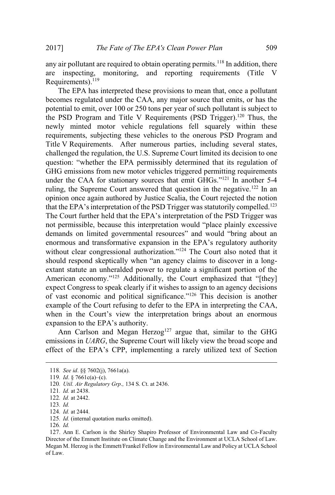any air pollutant are required to obtain operating permits.<sup>118</sup> In addition, there are inspecting, monitoring, and reporting requirements (Title Requirements). $119$ 

The EPA has interpreted these provisions to mean that, once a pollutant becomes regulated under the CAA, any major source that emits, or has the potential to emit, over 100 or 250 tons per year of such pollutant is subject to the PSD Program and Title V Requirements (PSD Trigger).<sup>120</sup> Thus, the newly minted motor vehicle regulations fell squarely within these requirements, subjecting these vehicles to the onerous PSD Program and Title V Requirements. After numerous parties, including several states, challenged the regulation, the U.S. Supreme Court limited its decision to one question: "whether the EPA permissibly determined that its regulation of GHG emissions from new motor vehicles triggered permitting requirements under the CAA for stationary sources that emit GHGs."<sup>121</sup> In another 5-4 ruling, the Supreme Court answered that question in the negative.<sup>122</sup> In an opinion once again authored by Justice Scalia, the Court rejected the notion that the EPA's interpretation of the PSD Trigger was statutorily compelled.<sup>123</sup> The Court further held that the EPA's interpretation of the PSD Trigger was not permissible, because this interpretation would "place plainly excessive demands on limited governmental resources" and would "bring about an enormous and transformative expansion in the EPA's regulatory authority without clear congressional authorization."<sup>124</sup> The Court also noted that it should respond skeptically when "an agency claims to discover in a longextant statute an unheralded power to regulate a significant portion of the American economy."<sup>125</sup> Additionally, the Court emphasized that "[they] expect Congress to speak clearly if it wishes to assign to an agency decisions of vast economic and political significance."<sup>126</sup> This decision is another example of the Court refusing to defer to the EPA in interpreting the CAA, when in the Court's view the interpretation brings about an enormous expansion to the EPA's authority.

Ann Carlson and Megan Herzog<sup>127</sup> argue that, similar to the GHG emissions in *UARG*, the Supreme Court will likely view the broad scope and effect of the EPA's CPP, implementing a rarely utilized text of Section

<sup>118</sup>*. See id*. §§ 7602(j), 7661a(a).

<sup>119</sup>*. Id*. § 7661c(a)–(c).

<sup>120</sup>*. Util. Air Regulatory Grp*.*,* 134 S. Ct. at 2436.

<sup>121</sup>*. Id.* at 2438.

<sup>122</sup>*. Id.* at 2442.

<sup>123</sup>*. Id.*

<sup>124</sup>*. Id.* at 2444.

<sup>125</sup>*. Id.* (internal quotation marks omitted).

<sup>126</sup>*. Id.*

<sup>127</sup>. Ann E. Carlson is the Shirley Shapiro Professor of Environmental Law and Co-Faculty Director of the Emmett Institute on Climate Change and the Environment at UCLA School of Law. Megan M. Herzog is the Emmett/Frankel Fellow in Environmental Law and Policy at UCLA School of Law.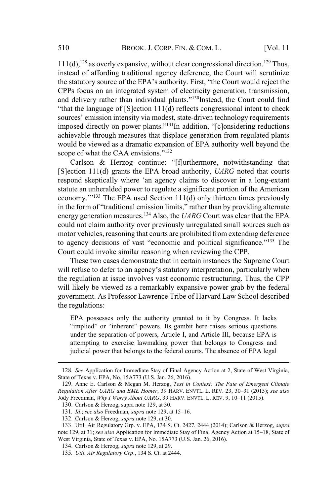$111(d)$ ,<sup>128</sup> as overly expansive, without clear congressional direction.<sup>129</sup> Thus, instead of affording traditional agency deference, the Court will scrutinize the statutory source of the EPA's authority. First, "the Court would reject the CPPs focus on an integrated system of electricity generation, transmission, and delivery rather than individual plants."<sup>130</sup>Instead, the Court could find "that the language of [S]ection 111(d) reflects congressional intent to check sources' emission intensity via modest, state-driven technology requirements imposed directly on power plants."131In addition, "[c]onsidering reductions achievable through measures that displace generation from regulated plants would be viewed as a dramatic expansion of EPA authority well beyond the scope of what the CAA envisions."<sup>132</sup>

Carlson & Herzog continue: "[f]urthermore, notwithstanding that [S]ection 111(d) grants the EPA broad authority, *UARG* noted that courts respond skeptically where 'an agency claims to discover in a long-extant statute an unheralded power to regulate a significant portion of the American economy.<sup>'''133</sup> The EPA used Section 111(d) only thirteen times previously in the form of "traditional emission limits," rather than by providing alternate energy generation measures.<sup>134</sup> Also, the *UARG* Court was clear that the EPA could not claim authority over previously unregulated small sources such as motor vehicles, reasoning that courts are prohibited from extending deference to agency decisions of vast "economic and political significance."<sup>135</sup> The Court could invoke similar reasoning when reviewing the CPP.

These two cases demonstrate that in certain instances the Supreme Court will refuse to defer to an agency's statutory interpretation, particularly when the regulation at issue involves vast economic restructuring. Thus, the CPP will likely be viewed as a remarkably expansive power grab by the federal government. As Professor Lawrence Tribe of Harvard Law School described the regulations:

EPA possesses only the authority granted to it by Congress. It lacks "implied" or "inherent" powers. Its gambit here raises serious questions under the separation of powers, Article I, and Article III, because EPA is attempting to exercise lawmaking power that belongs to Congress and judicial power that belongs to the federal courts. The absence of EPA legal

<sup>128</sup>*. See* Application for Immediate Stay of Final Agency Action at 2, State of West Virginia, State of Texas v. EPA, No. 15A773 (U.S. Jan. 26, 2016).

<sup>129</sup>. Anne E. Carlson & Megan M. Herzog, *Text in Context: The Fate of Emergent Climate Regulation After UARG and EME Homer*, 39 HARV. ENVTL. L. REV. 23, 30–31 (2015); *see also* Jody Freedman, *Why I Worry About UARG*, 39 HARV. ENVTL. L. REV. 9, 10–11 (2015).

<sup>130</sup>. Carlson & Herzog, supra note 129, at 30.

<sup>131</sup>*. Id*.; *see also* Freedman, *supra* note 129, at 15–16.

<sup>132</sup>. Carlson & Herzog, *supra* note 129, at 30.

<sup>133</sup>. Util. Air Regulatory Grp. v. EPA, 134 S. Ct. 2427, 2444 (2014); Carlson & Herzog, *supra* note 129, at 31; *see also* Application for Immediate Stay of Final Agency Action at 15–18, State of West Virginia, State of Texas v. EPA, No. 15A773 (U.S. Jan. 26, 2016).

<sup>134</sup>. Carlson & Herzog, *supra* note 129, at 29.

<sup>135</sup>*. Util. Air Regulatory Grp*., 134 S. Ct. at 2444.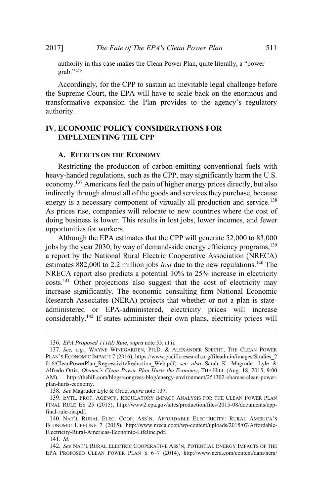authority in this case makes the Clean Power Plan, quite literally, a "power grab."<sup>136</sup>

Accordingly, for the CPP to sustain an inevitable legal challenge before the Supreme Court, the EPA will have to scale back on the enormous and transformative expansion the Plan provides to the agency's regulatory authority.

# **IV. ECONOMIC POLICY CONSIDERATIONS FOR IMPLEMENTING THE CPP**

#### **A. EFFECTS ON THE ECONOMY**

Restricting the production of carbon-emitting conventional fuels with heavy-handed regulations, such as the CPP, may significantly harm the U.S. economy.<sup>137</sup> Americans feel the pain of higher energy prices directly, but also indirectly through almost all of the goods and services they purchase, because energy is a necessary component of virtually all production and service.<sup>138</sup> As prices rise, companies will relocate to new countries where the cost of doing business is lower. This results in lost jobs, lower incomes, and fewer opportunities for workers.

Although the EPA estimates that the CPP will generate 52,000 to 83,000 jobs by the year 2030, by way of demand-side energy efficiency programs, <sup>139</sup> a report by the National Rural Electric Cooperative Association (NRECA) estimates 882,000 to 2.2 million jobs *lost* due to the new regulations.<sup>140</sup> The NRECA report also predicts a potential 10% to 25% increase in electricity costs.<sup>141</sup> Other projections also suggest that the cost of electricity may increase significantly. The economic consulting firm National Economic Research Associates (NERA) projects that whether or not a plan is stateadministered or EPA-administered, electricity prices will increase considerably.<sup>142</sup> If states administer their own plans, electricity prices will

<sup>136</sup>*. EPA Proposed 111(d) Rule*, *supra* note 55, at ii.

<sup>137</sup>*. See, e.g.*, WAYNE WINEGARDEN, PH.D. & ALEXANDER SPECHT, THE CLEAN POWER PLAN'S ECONOMIC IMPACT 7 (2016), https://www.pacificresearch.org/fileadmin/images/Studies\_2 016/CleanPowerPlan\_RegressivityReduction\_Web.pdf; *see also* Sarah K. Magruder Lyle & Alfredo Ortiz, *Obama's Clean Power Plan Hurts the Economy*, THE HILL (Aug. 18, 2015, 9:00 AM), http://thehill.com/blogs/congress-blog/energy-environment/251302-obamas-clean-powerplan-hurts-economy.

<sup>138</sup>*. See* Magruder Lyle & Ortiz, *supra* note 137.

<sup>139</sup>. EVTL. PROT. AGENCY, REGULATORY IMPACT ANALYSIS FOR THE CLEAN POWER PLAN FINAL RULE ES 25 (2015), http://www2.epa.gov/sites/production/files/2015-08/documents/cppfinal-rule-ria.pdf.

<sup>140</sup>. NAT'L RURAL ELEC. COOP. ASS'N, AFFORDABLE ELECTRICITY: RURAL AMERICA'S ECONOMIC LIFELINE 7 (2015), http://www.nreca.coop/wp-content/uploads/2015/07/Affordable-Electricity-Rural-Americas-Economic-Lifeline.pdf.

<sup>141</sup>*. Id.*

<sup>142</sup>*. See* NAT'L RURAL ELECTRIC COOPERATIVE ASS'N, POTENTIAL ENERGY IMPACTS OF THE EPA PROPOSED CLEAN POWER PLAN S 6–7 (2014), http://www.nera.com/content/dam/nera/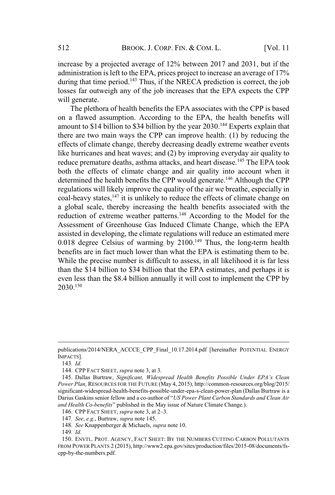increase by a projected average of 12% between 2017 and 2031, but if the administration is left to the EPA, prices project to increase an average of 17% during that time period.<sup>143</sup> Thus, if the NRECA prediction is correct, the job losses far outweigh any of the job increases that the EPA expects the CPP will generate.

The plethora of health benefits the EPA associates with the CPP is based on a flawed assumption. According to the EPA, the health benefits will amount to \$14 billion to \$34 billion by the year 2030.<sup>144</sup> Experts explain that there are two main ways the CPP can improve health: (1) by reducing the effects of climate change, thereby decreasing deadly extreme weather events like hurricanes and heat waves; and (2) by improving everyday air quality to reduce premature deaths, asthma attacks, and heart disease.<sup>145</sup> The EPA took both the effects of climate change and air quality into account when it determined the health benefits the CPP would generate.<sup>146</sup> Although the CPP regulations will likely improve the quality of the air we breathe, especially in coal-heavy states, $147$  it is unlikely to reduce the effects of climate change on a global scale, thereby increasing the health benefits associated with the reduction of extreme weather patterns.<sup>148</sup> According to the Model for the Assessment of Greenhouse Gas Induced Climate Change, which the EPA assisted in developing, the climate regulations will reduce an estimated mere  $0.018$  degree Celsius of warming by  $2100$ .<sup>149</sup> Thus, the long-term health benefits are in fact much lower than what the EPA is estimating them to be. While the precise number is difficult to assess, in all likelihood it is far less than the \$14 billion to \$34 billion that the EPA estimates, and perhaps it is even less than the \$8.4 billion annually it will cost to implement the CPP by 2030.<sup>150</sup>

143*. Id.*

publications/2014/NERA\_ACCCE\_CPP\_Final\_10.17.2014.pdf [hereinafter POTENTIAL ENERGY IMPACTS].

<sup>144</sup>. CPP FACT SHEET, *supra* note 3, at 3.

<sup>145</sup>. Dallas Burtraw, *Significant, Widespread Health Benefits Possible Under EPA's Clean Power Plan,* RESOURCES FOR THE FUTURE (May 4, 2015), http://common-resources.org/blog/2015/ significant-widespread-health-benefits-possible-under-epa-s-clean-power-plan (Dallas Burtraw is a Darius Gaskins senior fellow and a co-author of "*US Power Plant Carbon Standards and Clean Air and Health Co-benefits*" published in the May issue of Nature Climate Change.).

<sup>146</sup>. CPP FACT SHEET, *supra* note 3, at 2–3.

<sup>147</sup>*. See*, *e.g*., Burtraw, *supra* note 145.

<sup>148</sup>*. See* Knappenberger & Michaels, *supra* note 10.

<sup>149</sup>*. Id.*

<sup>150</sup>. ENVTL. PROT. AGENCY, FACT SHEET: BY THE NUMBERS CUTTING CARBON POLLUTANTS FROM POWER PLANTS 2 (2015), http://www2.epa.gov/sites/production/files/2015-08/documents/fscpp-by-the-numbers.pdf.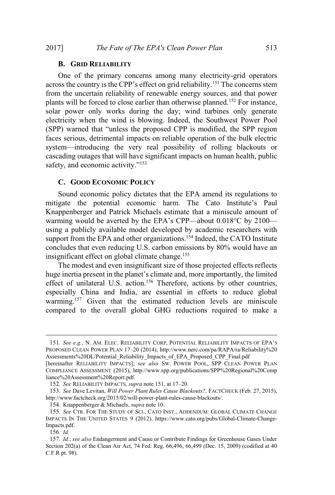#### **B. GRID RELIABILITY**

One of the primary concerns among many electricity-grid operators across the country is the CPP's effect on grid reliability.<sup>151</sup> The concerns stem from the uncertain reliability of renewable energy sources, and that power plants will be forced to close earlier than otherwise planned.<sup>152</sup> For instance, solar power only works during the day; wind turbines only generate electricity when the wind is blowing. Indeed, the Southwest Power Pool (SPP) warned that "unless the proposed CPP is modified, the SPP region faces serious, detrimental impacts on reliable operation of the bulk electric system—introducing the very real possibility of rolling blackouts or cascading outages that will have significant impacts on human health, public safety, and economic activity."<sup>153</sup>

## **C. GOOD ECONOMIC POLICY**

Sound economic policy dictates that the EPA amend its regulations to mitigate the potential economic harm. The Cato Institute's Paul Knappenberger and Patrick Michaels estimate that a miniscule amount of warming would be averted by the EPA's CPP—about 0.018°C by 2100 using a publicly available model developed by academic researchers with support from the EPA and other organizations.<sup>154</sup> Indeed, the CATO Institute concludes that even reducing U.S. carbon emissions by 80% would have an insignificant effect on global climate change.<sup>155</sup>

The modest and even insignificant size of those projected effects reflects huge inertia present in the planet's climate and, more importantly, the limited effect of unilateral U.S. action.<sup>156</sup> Therefore, actions by other countries, especially China and India, are essential in efforts to reduce global warming.<sup>157</sup> Given that the estimated reduction levels are miniscule compared to the overall global GHG reductions required to make a

<sup>151</sup>*. See e.g.*, N. AM. ELEC. RELIABILITY CORP, POTENTIAL RELIABILITY IMPACTS OF EPA'S PROPOSED CLEAN POWER PLAN 17–20 (2014), http://www.nerc.com/pa/RAPA/ra/Reliability%20 Assessments%20DL/Potential\_Reliability\_Impacts\_of\_EPA\_Proposed\_CPP\_Final.pdf

<sup>[</sup>hereinafter RELIABILITY IMPACTS]; *see also* SW. POWER POOL, SPP CLEAN POWER PLAN COMPLIANCE ASSESSMENT (2015), http://www.spp.org/publications/SPP%20Regional%20Comp liance%20Assessment%20Report.pdf.

<sup>152</sup>*. See* RELIABILITY IMPACTS, *supra* note 151, at 17–20.

<sup>153</sup>*. See* Dave Levitan, *Will Power Plant Rules Cause Blackouts?,* FACTCHECK (Feb. 27, 2015), http://www.factcheck.org/2015/02/will-power-plant-rules-cause-blackouts/.

<sup>154</sup>. Knappenberger & Michaels, *supra* note 10.

<sup>155</sup>*. See* CTR. FOR THE STUDY OF SCI., CATO INST., ADDENDUM: GLOBAL CLIMATE CHANGE IMPACTS IN THE UNITED STATES 9 (2012), https://www.cato.org/pubs/Global-Climate-Change-Impacts.pdf.

<sup>156</sup>*. Id.*

<sup>157</sup>*. Id.*; *see also* Endangerment and Cause or Contribute Findings for Greenhouse Gases Under Section 202(a) of the Clean Air Act, 74 Fed. Reg. 66,496, 66,499 (Dec. 15, 2009) (codified at 40 C.F.R pt. 98).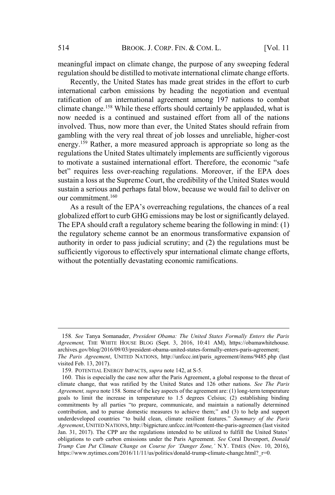meaningful impact on climate change, the purpose of any sweeping federal regulation should be distilled to motivate international climate change efforts.

Recently, the United States has made great strides in the effort to curb international carbon emissions by heading the negotiation and eventual ratification of an international agreement among 197 nations to combat climate change.<sup>158</sup> While these efforts should certainly be applauded, what is now needed is a continued and sustained effort from all of the nations involved. Thus, now more than ever, the United States should refrain from gambling with the very real threat of job losses and unreliable, higher-cost energy.<sup>159</sup> Rather, a more measured approach is appropriate so long as the regulations the United States ultimately implements are sufficiently vigorous to motivate a sustained international effort. Therefore, the economic "safe bet" requires less over-reaching regulations. Moreover, if the EPA does sustain a loss at the Supreme Court, the credibility of the United States would sustain a serious and perhaps fatal blow, because we would fail to deliver on our commitment.<sup>160</sup>

As a result of the EPA's overreaching regulations, the chances of a real globalized effort to curb GHG emissions may be lost or significantly delayed. The EPA should craft a regulatory scheme bearing the following in mind: (1) the regulatory scheme cannot be an enormous transformative expansion of authority in order to pass judicial scrutiny; and (2) the regulations must be sufficiently vigorous to effectively spur international climate change efforts, without the potentially devastating economic ramifications.

<sup>158</sup>*. See* Tanya Somanader, *President Obama: The United States Formally Enters the Paris Agreement,* THE WHITE HOUSE BLOG (Sept. 3, 2016, 10:41 AM), https://obamawhitehouse. archives.gov/blog/2016/09/03/president-obama-united-states-formally-enters-paris-agreement; *The Paris Agreement*, UNITED NATIONS, http://unfccc.int/paris\_agreement/items/9485.php (last visited Feb. 13, 2017).

<sup>159</sup>. POTENTIAL ENERGY IMPACTS, *supra* note 142, at S-5.

<sup>160</sup>. This is especially the case now after the Paris Agreement, a global response to the threat of climate change, that was ratified by the United States and 126 other nations. *See The Paris Agreement, supra* note 158*.* Some of the key aspects of the agreement are: (1) long-term temperature goals to limit the increase in temperature to 1.5 degrees Celsius; (2) establishing binding commitments by all parties "to prepare, communicate, and maintain a nationally determined contribution, and to pursue domestic measures to achieve them;" and (3) to help and support underdeveloped countries "to build clean, climate resilient features." *Summary of the Paris Agreement*, UNITED NATIONS, http://bigpicture.unfccc.int/#content-the-paris-agreemen (last visited Jan. 31, 2017). The CPP are the regulations intended to be utilized to fulfill the United States' obligations to curb carbon emissions under the Paris Agreement. *See* Coral Davenport, *Donald Trump Can Put Climate Change on Course for 'Danger Zone,'* N.Y. TIMES (Nov. 10, 2016), https://www.nytimes.com/2016/11/11/us/politics/donald-trump-climate-change.html? r=0.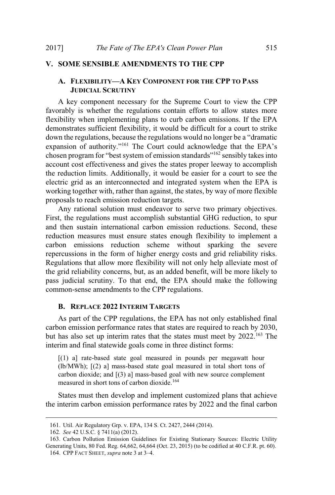#### **V. SOME SENSIBLE AMENDMENTS TO THE CPP**

# **A. FLEXIBILITY—A KEY COMPONENT FOR THE CPP TO PASS JUDICIAL SCRUTINY**

A key component necessary for the Supreme Court to view the CPP favorably is whether the regulations contain efforts to allow states more flexibility when implementing plans to curb carbon emissions. If the EPA demonstrates sufficient flexibility, it would be difficult for a court to strike down the regulations, because the regulations would no longer be a "dramatic expansion of authority."<sup>161</sup> The Court could acknowledge that the EPA's chosen program for "best system of emission standards"<sup>162</sup> sensibly takes into account cost effectiveness and gives the states proper leeway to accomplish the reduction limits. Additionally, it would be easier for a court to see the electric grid as an interconnected and integrated system when the EPA is working together with, rather than against, the states, by way of more flexible proposals to reach emission reduction targets.

Any rational solution must endeavor to serve two primary objectives. First, the regulations must accomplish substantial GHG reduction, to spur and then sustain international carbon emission reductions. Second, these reduction measures must ensure states enough flexibility to implement a carbon emissions reduction scheme without sparking the severe repercussions in the form of higher energy costs and grid reliability risks. Regulations that allow more flexibility will not only help alleviate most of the grid reliability concerns, but, as an added benefit, will be more likely to pass judicial scrutiny. To that end, the EPA should make the following common-sense amendments to the CPP regulations.

# **B. REPLACE 2022 INTERIM TARGETS**

As part of the CPP regulations, the EPA has not only established final carbon emission performance rates that states are required to reach by 2030, but has also set up interim rates that the states must meet by 2022.<sup>163</sup> The interim and final statewide goals come in three distinct forms:

[(1) a] rate-based state goal measured in pounds per megawatt hour (lb/MWh); [(2) a] mass-based state goal measured in total short tons of carbon dioxide; and [(3) a] mass-based goal with new source complement measured in short tons of carbon dioxide.<sup>164</sup>

States must then develop and implement customized plans that achieve the interim carbon emission performance rates by 2022 and the final carbon

<sup>161</sup>. Util. Air Regulatory Grp. v. EPA, 134 S. Ct. 2427, 2444 (2014).

<sup>162</sup>*. See* 42 U.S.C. § 7411(a) (2012).

<sup>163</sup>. Carbon Pollution Emission Guidelines for Existing Stationary Sources: Electric Utility Generating Units, 80 Fed. Reg. 64,662, 64,664 (Oct. 23, 2015) (to be codified at 40 C.F.R. pt. 60).

<sup>164</sup>. CPP FACT SHEET, *supra* note 3 at 3–4.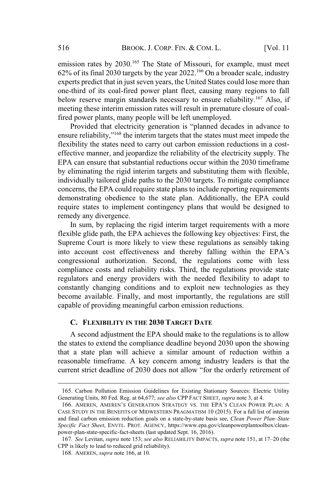emission rates by 2030.<sup>165</sup> The State of Missouri, for example, must meet 62% of its final 2030 targets by the year 2022.<sup>166</sup> On a broader scale, industry experts predict that in just seven years, the United States could lose more than one-third of its coal-fired power plant fleet, causing many regions to fall below reserve margin standards necessary to ensure reliability.<sup>167</sup> Also, if meeting these interim emission rates will result in premature closure of coalfired power plants, many people will be left unemployed.

Provided that electricity generation is "planned decades in advance to ensure reliability,"<sup>168</sup> the interim targets that the states must meet impede the flexibility the states need to carry out carbon emission reductions in a costeffective manner, and jeopardize the reliability of the electricity supply. The EPA can ensure that substantial reductions occur within the 2030 timeframe by eliminating the rigid interim targets and substituting them with flexible, individually tailored glide paths to the 2030 targets. To mitigate compliance concerns, the EPA could require state plans to include reporting requirements demonstrating obedience to the state plan. Additionally, the EPA could require states to implement contingency plans that would be designed to remedy any divergence.

In sum, by replacing the rigid interim target requirements with a more flexible glide path, the EPA achieves the following key objectives: First, the Supreme Court is more likely to view these regulations as sensibly taking into account cost effectiveness and thereby falling within the EPA's congressional authorization. Second, the regulations come with less compliance costs and reliability risks. Third, the regulations provide state regulators and energy providers with the needed flexibility to adapt to constantly changing conditions and to exploit new technologies as they become available. Finally, and most importantly, the regulations are still capable of providing meaningful carbon emission reductions.

# **C. FLEXIBILITY IN THE 2030 TARGET DATE**

A second adjustment the EPA should make to the regulations is to allow the states to extend the compliance deadline beyond 2030 upon the showing that a state plan will achieve a similar amount of reduction within a reasonable timeframe. A key concern among industry leaders is that the current strict deadline of 2030 does not allow "for the orderly retirement of

<sup>165</sup>. Carbon Pollution Emission Guidelines for Existing Stationary Sources: Electric Utility Generating Units, 80 Fed. Reg. at 64,677; *see also* CPP FACT SHEET, *supra* note 3, at 4.

<sup>166</sup>. AMEREN, AMEREN'S GENERATION STRATEGY VS. THE EPA'S CLEAN POWER PLAN: A CASE STUDY IN THE BENEFITS OF MIDWESTERN PRAGMATISM 10 (2015). For a full list of interim and final carbon emission reduction goals on a state-by-state basis see, *Clean Power Plan–State Specific Fact Sheet*, ENVTL. PROT. AGENCY, https://www.epa.gov/cleanpowerplantoolbox/cleanpower-plan-state-specific-fact-sheets (last updated Sept. 16, 2016).

<sup>167</sup>*. See* Levitan, *supra* note 153; *see also* RELIABILITY IMPACTS, *supra* note 151, at 17–20 (the CPP is likely to lead to reduced grid reliability).

<sup>168</sup>. AMEREN, *supra* note 166, at 10.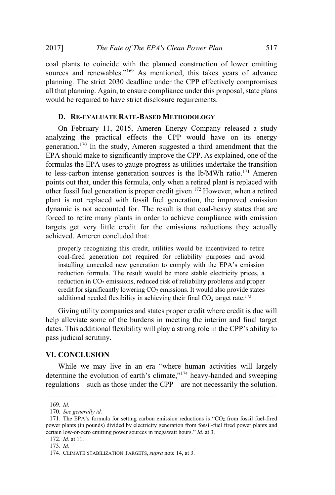coal plants to coincide with the planned construction of lower emitting sources and renewables."<sup>169</sup> As mentioned, this takes years of advance planning. The strict 2030 deadline under the CPP effectively compromises all that planning. Again, to ensure compliance under this proposal, state plans would be required to have strict disclosure requirements.

# **D. RE-EVALUATE RATE-BASED METHODOLOGY**

On February 11, 2015, Ameren Energy Company released a study analyzing the practical effects the CPP would have on its energy generation.<sup>170</sup> In the study, Ameren suggested a third amendment that the EPA should make to significantly improve the CPP. As explained, one of the formulas the EPA uses to gauge progress as utilities undertake the transition to less-carbon intense generation sources is the  $lb/MWh$  ratio.<sup>171</sup> Ameren points out that, under this formula, only when a retired plant is replaced with other fossil fuel generation is proper credit given.<sup>172</sup> However, when a retired plant is not replaced with fossil fuel generation, the improved emission dynamic is not accounted for. The result is that coal-heavy states that are forced to retire many plants in order to achieve compliance with emission targets get very little credit for the emissions reductions they actually achieved. Ameren concluded that:

properly recognizing this credit, utilities would be incentivized to retire coal-fired generation not required for reliability purposes and avoid installing unneeded new generation to comply with the EPA's emission reduction formula. The result would be more stable electricity prices, a reduction in CO<sub>2</sub> emissions, reduced risk of reliability problems and proper credit for significantly lowering  $CO<sub>2</sub>$  emissions. It would also provide states additional needed flexibility in achieving their final  $CO<sub>2</sub>$  target rate.<sup>173</sup>

Giving utility companies and states proper credit where credit is due will help alleviate some of the burdens in meeting the interim and final target dates. This additional flexibility will play a strong role in the CPP's ability to pass judicial scrutiny.

# **VI. CONCLUSION**

While we may live in an era "where human activities will largely determine the evolution of earth's climate,"<sup>174</sup> heavy-handed and sweeping regulations—such as those under the CPP—are not necessarily the solution.

<sup>169</sup>*. Id.*

<sup>170</sup>*. See generally id.*

<sup>171</sup>. The EPA's formula for setting carbon emission reductions is "CO<sup>2</sup> from fossil fuel-fired power plants (in pounds) divided by electricity generation from fossil-fuel fired power plants and certain low-or-zero emitting power sources in megawatt hours." *Id.* at 3.

<sup>172</sup>*. Id.* at 11.

<sup>173</sup>*. Id.*

<sup>174</sup>. CLIMATE STABILIZATION TARGETS, *supra* note 14, at 3.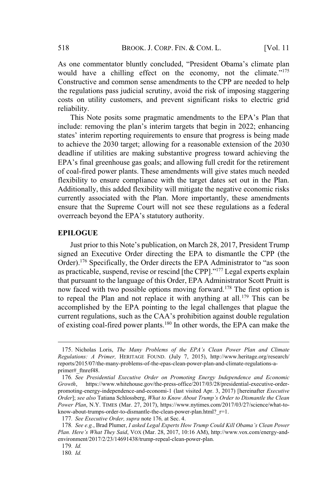As one commentator bluntly concluded, "President Obama's climate plan would have a chilling effect on the economy, not the climate."<sup>175</sup> Constructive and common sense amendments to the CPP are needed to help the regulations pass judicial scrutiny, avoid the risk of imposing staggering costs on utility customers, and prevent significant risks to electric grid reliability.

This Note posits some pragmatic amendments to the EPA's Plan that include: removing the plan's interim targets that begin in 2022; enhancing states' interim reporting requirements to ensure that progress is being made to achieve the 2030 target; allowing for a reasonable extension of the 2030 deadline if utilities are making substantive progress toward achieving the EPA's final greenhouse gas goals; and allowing full credit for the retirement of coal-fired power plants. These amendments will give states much needed flexibility to ensure compliance with the target dates set out in the Plan. Additionally, this added flexibility will mitigate the negative economic risks currently associated with the Plan. More importantly, these amendments ensure that the Supreme Court will not see these regulations as a federal overreach beyond the EPA's statutory authority.

#### **EPILOGUE**

Just prior to this Note's publication, on March 28, 2017, President Trump signed an Executive Order directing the EPA to dismantle the CPP (the Order).<sup>176</sup> Specifically, the Order directs the EPA Administrator to "as soon as practicable, suspend, revise or rescind [the CPP]."<sup>177</sup> Legal experts explain that pursuant to the language of this Order, EPA Administrator Scott Pruitt is now faced with two possible options moving forward.<sup>178</sup> The first option is to repeal the Plan and not replace it with anything at all.<sup>179</sup> This can be accomplished by the EPA pointing to the legal challenges that plague the current regulations, such as the CAA's prohibition against double regulation of existing coal-fired power plants.<sup>180</sup> In other words, the EPA can make the

<sup>175</sup>. Nicholas Loris, *The Many Problems of the EPA's Clean Power Plan and Climate Regulations: A Primer,* HERITAGE FOUND. (July 7, 2015), http://www.heritage.org/research/ reports/2015/07/the-many-problems-of-the-epas-clean-power-plan-and-climate-regulations-aprimer# ftnref48.

<sup>176</sup>*. See Presidential Executive Order on Promoting Energy Independence and Economic Growth*, https://www.whitehouse.gov/the-press-office/2017/03/28/presidential-executive-orderpromoting-energy-independence-and-economi-1 (last visited Apr. 3, 2017) [hereinafter *Executive Order*]; *see also* Tatiana Schlossberg, *What to Know About Trump's Order to Dismantle the Clean Power Plan*, N.Y. TIMES (Mar. 27, 2017), https://www.nytimes.com/2017/03/27/science/what-toknow-about-trumps-order-to-dismantle-the-clean-power-plan.html? r=1.

<sup>177</sup>*. See Executive Order, supra* note 176*,* at Sec. 4.

<sup>178</sup>*. See e.g.*, Brad Plumer, *I asked Legal Experts How Trump Could Kill Obama's Clean Power Plan. Here's What They Said*, VOX (Mar. 28, 2017, 10:16 AM), http://www.vox.com/energy-andenvironment/2017/2/23/14691438/trump-repeal-clean-power-plan.

<sup>179</sup>*. Id.*

<sup>180</sup>*. Id.*